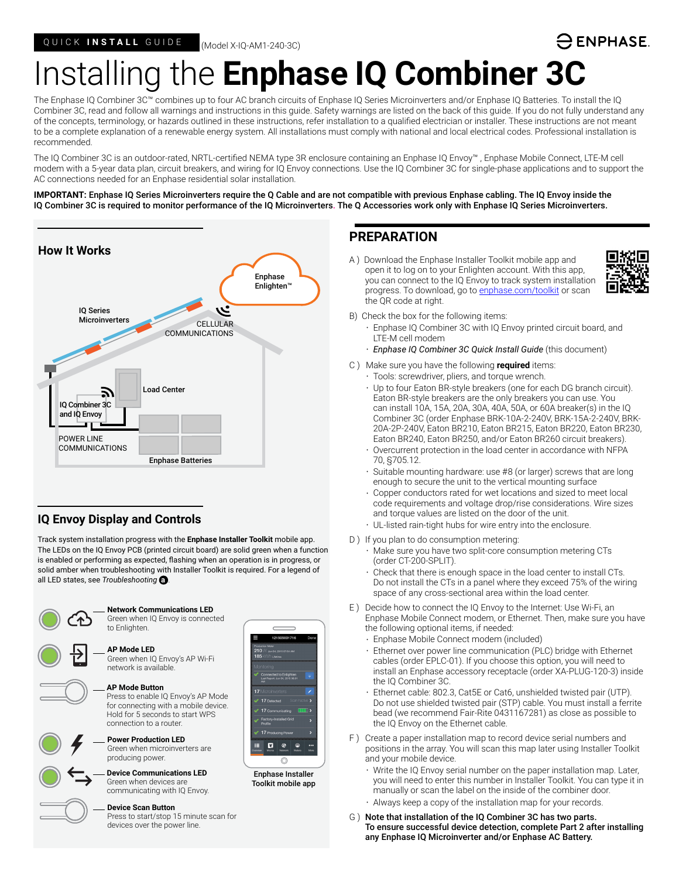### ) ENPHASE.

# Installing the **Enphase IQ Combiner 3C**

The Enphase IQ Combiner 3C™ combines up to four AC branch circuits of Enphase IQ Series Microinverters and/or Enphase IQ Batteries. To install the IQ Combiner 3C, read and follow all warnings and instructions in this guide. Safety warnings are listed on the back of this guide. If you do not fully understand any of the concepts, terminology, or hazards outlined in these instructions, refer installation to a qualified electrician or installer. These instructions are not meant to be a complete explanation of a renewable energy system. All installations must comply with national and local electrical codes. Professional installation is recommended.

The IQ Combiner 3C is an outdoor-rated, NRTL-certified NEMA type 3R enclosure containing an Enphase IQ Envoy™ , Enphase Mobile Connect, LTE-M cell modem with a 5-year data plan, circuit breakers, and wiring for IQ Envoy connections. Use the IQ Combiner 3C for single-phase applications and to support the AC connections needed for an Enphase residential solar installation.

**IMPORTANT:** Enphase IQ Series Microinverters require the Q Cable and are not compatible with previous Enphase cabling. The IQ Envoy inside the IQ Combiner 3C is required to monitor performance of the IQ Microinverters. The Q Accessories work only with Enphase IQ Series Microinverters.



### **IQ Envoy Display and Controls**

Track system installation progress with the **Enphase Installer Toolkit** mobile app. The LEDs on the IQ Envoy PCB (printed circuit board) are solid green when a function is enabled or performing as expected, flashing when an operation is in progress, or solid amber when troubleshooting with Installer Toolkit is required. For a legend of all LED states, see *Troubleshooting* **a** *.*



### **PREPARATION**

A ) Download the Enphase Installer Toolkit mobile app and open it to log on to your Enlighten account. With this app, you can connect to the IQ Envoy to track system installation progress. To download, go to [enphase.com/toolkit](http://enphase.com/toolkit) or scan the QR code at right.



- B) Check the box for the following items:
	- Enphase IQ Combiner 3C with IQ Envoy printed circuit board, and LTE-M cell modem
	- *Enphase IQ Combiner 3C Quick Install Guide* (this document)
- C ) Make sure you have the following **required** items:
	- Tools: screwdriver, pliers, and torque wrench.
	- Up to four Eaton BR-style breakers (one for each DG branch circuit). Eaton BR-style breakers are the only breakers you can use. You can install 10A, 15A, 20A, 30A, 40A, 50A, or 60A breaker(s) in the IQ Combiner 3C (order Enphase BRK-10A-2-240V, BRK-15A-2-240V, BRK-20A-2P-240V, Eaton BR210, Eaton BR215, Eaton BR220, Eaton BR230, Eaton BR240, Eaton BR250, and/or Eaton BR260 circuit breakers).
	- Overcurrent protection in the load center in accordance with NFPA 70, §705.12.
	- Suitable mounting hardware: use #8 (or larger) screws that are long enough to secure the unit to the vertical mounting surface
	- Copper conductors rated for wet locations and sized to meet local code requirements and voltage drop/rise considerations. Wire sizes and torque values are listed on the door of the unit.
	- UL-listed rain-tight hubs for wire entry into the enclosure.
- D) If you plan to do consumption metering:
	- Make sure you have two split-core consumption metering CTs (order CT-200-SPLIT).
	- Check that there is enough space in the load center to install CTs. Do not install the CTs in a panel where they exceed 75% of the wiring space of any cross-sectional area within the load center.
- E ) Decide how to connect the IQ Envoy to the Internet: Use Wi-Fi, an Enphase Mobile Connect modem, or Ethernet. Then, make sure you have the following optional items, if needed:
	- Enphase Mobile Connect modem (included)
	- Ethernet over power line communication (PLC) bridge with Ethernet cables (order EPLC-01). If you choose this option, you will need to install an Enphase accessory receptacle (order XA-PLUG-120-3) inside the IQ Combiner 3C.
	- Ethernet cable: 802.3, Cat5E or Cat6, unshielded twisted pair (UTP). Do not use shielded twisted pair (STP) cable. You must install a ferrite bead (we recommend Fair-Rite 0431167281) as close as possible to the IQ Envoy on the Ethernet cable.
- F ) Create a paper installation map to record device serial numbers and positions in the array. You will scan this map later using Installer Toolkit and your mobile device.
	- Write the IQ Envoy serial number on the paper installation map. Later, you will need to enter this number in Installer Toolkit. You can type it in manually or scan the label on the inside of the combiner door.
	- Always keep a copy of the installation map for your records.
- G ) Note that installation of the IQ Combiner 3C has two parts. To ensure successful device detection, complete Part 2 after installing any Enphase IQ Microinverter and/or Enphase AC Battery.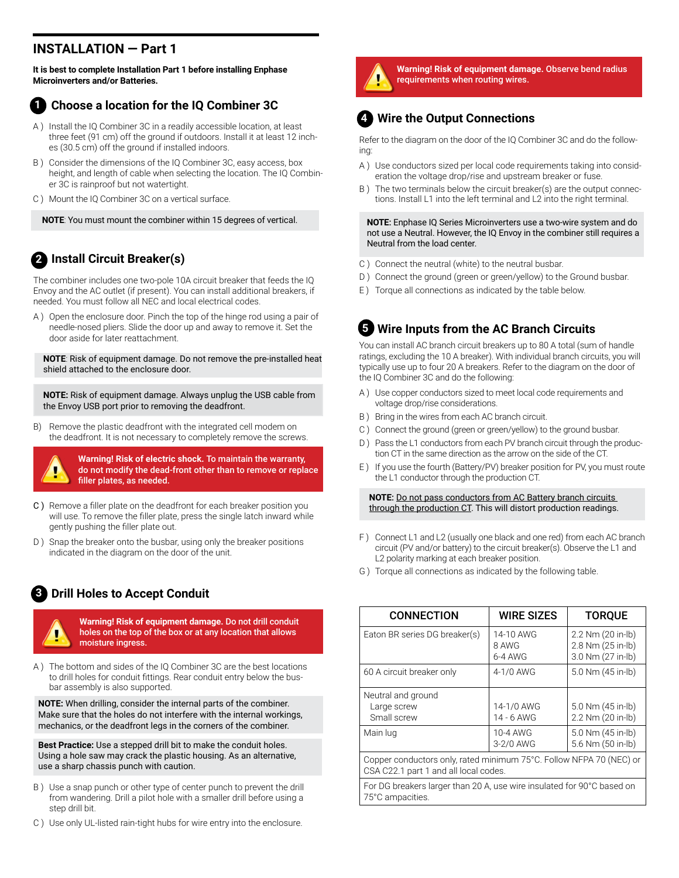### **INSTALLATION — Part 1**

**It is best to complete Installation Part 1 before installing Enphase Microinverters and/or Batteries.**

#### **Choose a location for the IQ Combiner 3C 1**

- A ) Install the IQ Combiner 3C in a readily accessible location, at least three feet (91 cm) off the ground if outdoors. Install it at least 12 inches (30.5 cm) off the ground if installed indoors.
- B ) Consider the dimensions of the IQ Combiner 3C, easy access, box height, and length of cable when selecting the location. The IQ Combiner 3C is rainproof but not watertight.
- C ) Mount the IQ Combiner 3C on a vertical surface.

**NOTE**: You must mount the combiner within 15 degrees of vertical.

### **Install Circuit Breaker(s) 2**

The combiner includes one two-pole 10A circuit breaker that feeds the IQ Envoy and the AC outlet (if present). You can install additional breakers, if needed. You must follow all NEC and local electrical codes.

A ) Open the enclosure door. Pinch the top of the hinge rod using a pair of needle-nosed pliers. Slide the door up and away to remove it. Set the door aside for later reattachment.

**NOTE**: Risk of equipment damage. Do not remove the pre-installed heat shield attached to the enclosure door.

**NOTE:** Risk of equipment damage. Always unplug the USB cable from the Envoy USB port prior to removing the deadfront.

B) Remove the plastic deadfront with the integrated cell modem on the deadfront. It is not necessary to completely remove the screws.



**Warning! Risk of electric shock.** To maintain the warranty, do not modify the dead-front other than to remove or replace filler plates, as needed.

- C ) Remove a filler plate on the deadfront for each breaker position you will use. To remove the filler plate, press the single latch inward while gently pushing the filler plate out.
- D ) Snap the breaker onto the busbar, using only the breaker positions indicated in the diagram on the door of the unit.

### **Drill Holes to Accept Conduit 3**

**Warning! Risk of equipment damage.** Do not drill conduit holes on the top of the box or at any location that allows moisture ingress.

A ) The bottom and sides of the IQ Combiner 3C are the best locations to drill holes for conduit fittings. Rear conduit entry below the busbar assembly is also supported.

**NOTE:** When drilling, consider the internal parts of the combiner. Make sure that the holes do not interfere with the internal workings, mechanics, or the deadfront legs in the corners of the combiner.

**Best Practice:** Use a stepped drill bit to make the conduit holes. Using a hole saw may crack the plastic housing. As an alternative, use a sharp chassis punch with caution.

- B ) Use a snap punch or other type of center punch to prevent the drill from wandering. Drill a pilot hole with a smaller drill before using a step drill bit.
- C ) Use only UL-listed rain-tight hubs for wire entry into the enclosure.



**Warning! Risk of equipment damage.** Observe bend radius requirements when routing wires.

### **Wire the Output Connections 4**

Refer to the diagram on the door of the IQ Combiner 3C and do the following:

- A ) Use conductors sized per local code requirements taking into consideration the voltage drop/rise and upstream breaker or fuse.
- B ) The two terminals below the circuit breaker(s) are the output connections. Install L1 into the left terminal and L2 into the right terminal.

**NOTE**: Enphase IQ Series Microinverters use a two-wire system and do not use a Neutral. However, the IQ Envoy in the combiner still requires a Neutral from the load center.

- C ) Connect the neutral (white) to the neutral busbar.
- D ) Connect the ground (green or green/yellow) to the Ground busbar.
- E ) Torque all connections as indicated by the table below.

### **Wire Inputs from the AC Branch Circuits 5**

You can install AC branch circuit breakers up to 80 A total (sum of handle ratings, excluding the 10 A breaker). With individual branch circuits, you will typically use up to four 20 A breakers. Refer to the diagram on the door of the IQ Combiner 3C and do the following:

- A ) Use copper conductors sized to meet local code requirements and voltage drop/rise considerations.
- B ) Bring in the wires from each AC branch circuit.
- C ) Connect the ground (green or green/yellow) to the ground busbar.
- D) Pass the L1 conductors from each PV branch circuit through the production CT in the same direction as the arrow on the side of the CT.
- E ) If you use the fourth (Battery/PV) breaker position for PV, you must route the L1 conductor through the production CT.

**NOTE**: Do not pass conductors from AC Battery branch circuits through the production CT. This will distort production readings.

- F ) Connect L1 and L2 (usually one black and one red) from each AC branch circuit (PV and/or battery) to the circuit breaker(s). Observe the L1 and L2 polarity marking at each breaker position.
- G ) Torque all connections as indicated by the following table.

| <b>CONNECTION</b>                                                                                            | <b>WIRE SIZES</b>               | <b>TOROUE</b>                                               |
|--------------------------------------------------------------------------------------------------------------|---------------------------------|-------------------------------------------------------------|
| Eaton BR series DG breaker(s)                                                                                | 14-10 AWG<br>8 AWG<br>$6-4$ AWG | 2.2 Nm (20 in-lb)<br>2.8 Nm (25 in-lb)<br>3.0 Nm (27 in-lb) |
| 60 A circuit breaker only                                                                                    | 4-1/0 AWG                       | 5.0 Nm (45 in-lb)                                           |
| Neutral and ground<br>Large screw<br>Small screw                                                             | 14-1/0 AWG<br>14 - 6 AWG        | 5.0 Nm (45 in-lb)<br>2.2 Nm (20 in-lb)                      |
| Main lug                                                                                                     | 10-4 AWG<br>$3-2/0$ AWG         | 5.0 Nm (45 in-lb)<br>5.6 Nm (50 in-lb)                      |
| Copper conductors only, rated minimum 75°C. Follow NFPA 70 (NEC) or<br>CSA C22.1 part 1 and all local codes. |                                 |                                                             |
| For DG breakers larger than 20 A, use wire insulated for 90°C based on<br>75°C ampacities.                   |                                 |                                                             |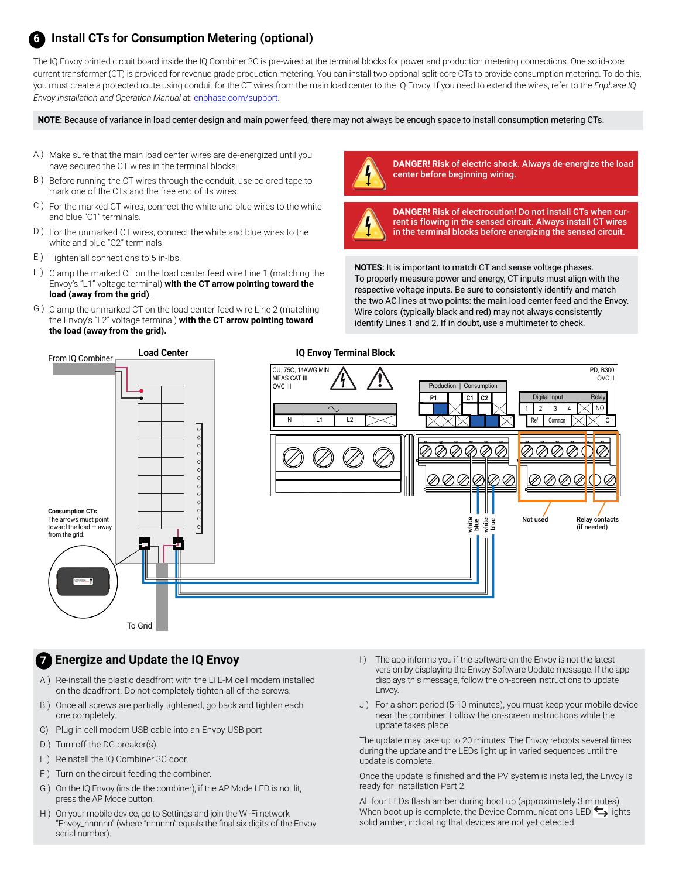#### **Install CTs for Consumption Metering (optional) 6**

The IQ Envoy printed circuit board inside the IQ Combiner 3C is pre-wired at the terminal blocks for power and production metering connections. One solid-core current transformer (CT) is provided for revenue grade production metering. You can install two optional split-core CTs to provide consumption metering. To do this, you must create a protected route using conduit for the CT wires from the main load center to the IQ Envoy. If you need to extend the wires, refer to the *Enphase IQ Envoy Installation and Operation Manual* at: [enphase.com/support](http://enphase.com/support).

**NOTE**: Because of variance in load center design and main power feed, there may not always be enough space to install consumption metering CTs.

- A ) Make sure that the main load center wires are de-energized until you have secured the CT wires in the terminal blocks.
- B ) Before running the CT wires through the conduit, use colored tape to mark one of the CTs and the free end of its wires.
- C ) For the marked CT wires, connect the white and blue wires to the white and blue "C1" terminals.
- D ) For the unmarked CT wires, connect the white and blue wires to the white and blue "C2" terminals.
- E ) Tighten all connections to 5 in-lbs.
- F ) Clamp the marked CT on the load center feed wire Line 1 (matching the Envoy's "L1" voltage terminal) **with the CT arrow pointing toward the load (away from the grid)**.
- G ) Clamp the unmarked CT on the load center feed wire Line 2 (matching the Envoy's "L2" voltage terminal) **with the CT arrow pointing toward the load (away from the grid).**



**DANGER!** Risk of electric shock. Always de-energize the load center before beginning wiring.



**DANGER!** Risk of electrocution! Do not install CTs when current is flowing in the sensed circuit. Always install CT wires in the terminal blocks before energizing the sensed circuit.

**NOTES**: It is important to match CT and sense voltage phases. To properly measure power and energy, CT inputs must align with the respective voltage inputs. Be sure to consistently identify and match the two AC lines at two points: the main load center feed and the Envoy. Wire colors (typically black and red) may not always consistently identify Lines 1 and 2. If in doubt, use a multimeter to check.



#### **Energize and Update the IQ Envoy 7**

- A ) Re-install the plastic deadfront with the LTE-M cell modem installed on the deadfront. Do not completely tighten all of the screws.
- B ) Once all screws are partially tightened, go back and tighten each one completely.
- C) Plug in cell modem USB cable into an Envoy USB port
- D ) Turn off the DG breaker(s).
- E ) Reinstall the IQ Combiner 3C door.
- F ) Turn on the circuit feeding the combiner.
- G ) On the IQ Envoy (inside the combiner), if the AP Mode LED is not lit, press the AP Mode button.
- H ) On your mobile device, go to Settings and join the Wi-Fi network "Envoy\_nnnnnn" (where "nnnnnn" equals the final six digits of the Envoy serial number).
- I) The app informs you if the software on the Envoy is not the latest version by displaying the Envoy Software Update message. If the app displays this message, follow the on-screen instructions to update Envoy.
- J) For a short period (5-10 minutes), you must keep your mobile device near the combiner. Follow the on-screen instructions while the update takes place.

The update may take up to 20 minutes. The Envoy reboots several times during the update and the LEDs light up in varied sequences until the update is complete.

Once the update is finished and the PV system is installed, the Envoy is ready for Installation Part 2.

All four LEDs flash amber during boot up (approximately 3 minutes). When boot up is complete, the Device Communications LED  $\leftrightarrow$  lights solid amber, indicating that devices are not yet detected.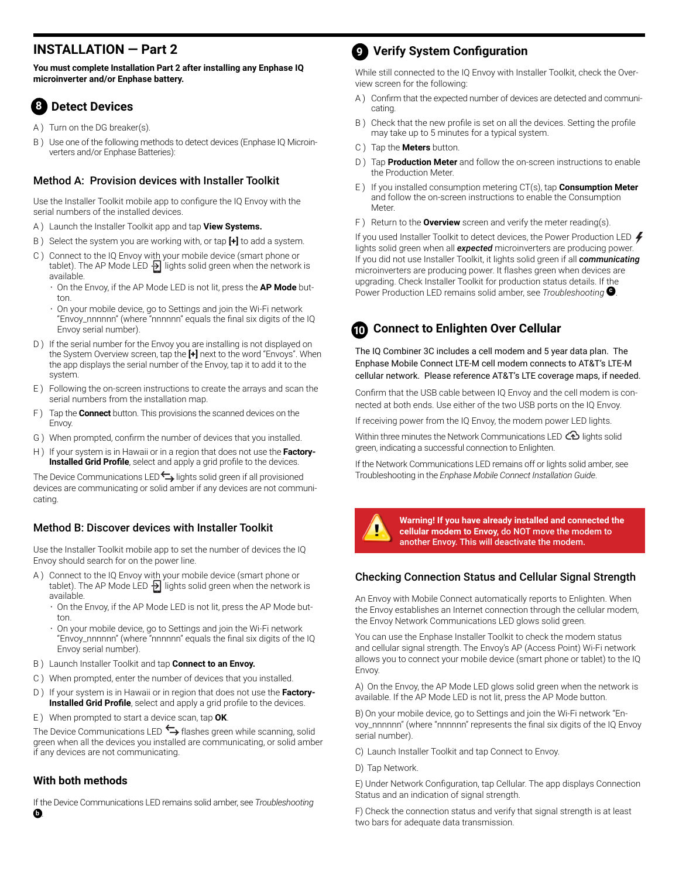### **INSTALLATION — Part 2**

**You must complete Installation Part 2 after installing any Enphase IQ microinverter and/or Enphase battery.**

#### **8 Detect Devices**

- A) Turn on the DG breaker(s).
- B ) Use one of the following methods to detect devices (Enphase IQ Microinverters and/or Enphase Batteries):

#### Method A: Provision devices with Installer Toolkit

Use the Installer Toolkit mobile app to configure the IQ Envoy with the serial numbers of the installed devices.

- A ) Launch the Installer Toolkit app and tap **View Systems.**
- B ) Select the system you are working with, or tap **[+]** to add a system.
- C ) Connect to the IQ Envoy with your mobile device (smart phone or tablet). The AP Mode LED  $\frac{1}{2}$  lights solid green when the network is available.
	- On the Envoy, if the AP Mode LED is not lit, press the **AP Mode** button.
	- On your mobile device, go to Settings and join the Wi-Fi network "Envoy\_nnnnnn" (where "nnnnnn" equals the final six digits of the IQ Envoy serial number).
- D ) If the serial number for the Envoy you are installing is not displayed on the System Overview screen, tap the **[+]** next to the word "Envoys". When the app displays the serial number of the Envoy, tap it to add it to the system.
- E ) Following the on-screen instructions to create the arrays and scan the serial numbers from the installation map.
- F ) Tap the **Connect** button. This provisions the scanned devices on the Envoy.
- G ) When prompted, confirm the number of devices that you installed.
- H ) If your system is in Hawaii or in a region that does not use the **Factory-Installed Grid Profile**, select and apply a grid profile to the devices.

The Device Communications LED $\leftarrow$  lights solid green if all provisioned devices are communicating or solid amber if any devices are not communicating.

#### Method B: Discover devices with Installer Toolkit

Use the Installer Toolkit mobile app to set the number of devices the IQ Envoy should search for on the power line.

- A ) Connect to the IQ Envoy with your mobile device (smart phone or tablet). The AP Mode LED  $\frac{1}{2}$  lights solid green when the network is available.
	- On the Envoy, if the AP Mode LED is not lit, press the AP Mode button.
	- On your mobile device, go to Settings and join the Wi-Fi network "Envoy\_nnnnnn" (where "nnnnnn" equals the final six digits of the IQ Envoy serial number).
- B ) Launch Installer Toolkit and tap **Connect to an Envoy.**
- C ) When prompted, enter the number of devices that you installed.
- D ) If your system is in Hawaii or in region that does not use the **Factory-Installed Grid Profile**, select and apply a grid profile to the devices.
- E ) When prompted to start a device scan, tap **OK**.

The Device Communications LED  $\leftrightarrow$  flashes green while scanning, solid green when all the devices you installed are communicating, or solid amber if any devices are not communicating.

#### **With both methods**

If the Device Communications LED remains solid amber, see *Troubleshooting*  **b** *.*

### **Verify System Configuration 9**

While still connected to the IQ Envoy with Installer Toolkit, check the Overview screen for the following:

- A ) Confirm that the expected number of devices are detected and communicating.
- B ) Check that the new profile is set on all the devices. Setting the profile may take up to 5 minutes for a typical system.
- C ) Tap the **Meters** button.
- D ) Tap **Production Meter** and follow the on-screen instructions to enable the Production Meter.
- E ) If you installed consumption metering CT(s), tap **Consumption Meter** and follow the on-screen instructions to enable the Consumption Meter.
- F ) Return to the **Overview** screen and verify the meter reading(s).

If you used Installer Toolkit to detect devices, the Power Production LED  $\clubsuit$ lights solid green when all *expected* microinverters are producing power. If you did not use Installer Toolkit, it lights solid green if all *communicating* microinverters are producing power. It flashes green when devices are upgrading. Check Installer Toolkit for production status details. If the Power Production LED remains solid amber, see *Troubleshooting* **<sup>c</sup>** .

#### **Connect to Enlighten Over Cellular 10**

The IQ Combiner 3C includes a cell modem and 5 year data plan. The Enphase Mobile Connect LTE-M cell modem connects to AT&T's LTE-M cellular network. Please reference AT&T's LTE coverage maps, if needed.

Confirm that the USB cable between IQ Envoy and the cell modem is connected at both ends. Use either of the two USB ports on the IQ Envoy.

If receiving power from the IQ Envoy, the modem power LED lights.

Within three minutes the Network Communications LED  $\bigoplus$  lights solid green, indicating a successful connection to Enlighten.

If the Network Communications LED remains off or lights solid amber, see Troubleshooting in the *Enphase Mobile Connect Installation Guide*.



**Warning! If you have already installed and connected the cellular modem to Envoy,** do NOT move the modem to another Envoy. This will deactivate the modem.

#### Checking Connection Status and Cellular Signal Strength

An Envoy with Mobile Connect automatically reports to Enlighten. When the Envoy establishes an Internet connection through the cellular modem, the Envoy Network Communications LED glows solid green.

You can use the Enphase Installer Toolkit to check the modem status and cellular signal strength. The Envoy's AP (Access Point) Wi-Fi network allows you to connect your mobile device (smart phone or tablet) to the IQ Envoy.

A) On the Envoy, the AP Mode LED glows solid green when the network is available. If the AP Mode LED is not lit, press the AP Mode button.

B) On your mobile device, go to Settings and join the Wi-Fi network "Envoy\_nnnnnn" (where "nnnnnn" represents the final six digits of the IQ Envoy serial number).

- C) Launch Installer Toolkit and tap Connect to Envoy.
- D) Tap Network.

E) Under Network Configuration, tap Cellular. The app displays Connection Status and an indication of signal strength.

F) Check the connection status and verify that signal strength is at least two bars for adequate data transmission.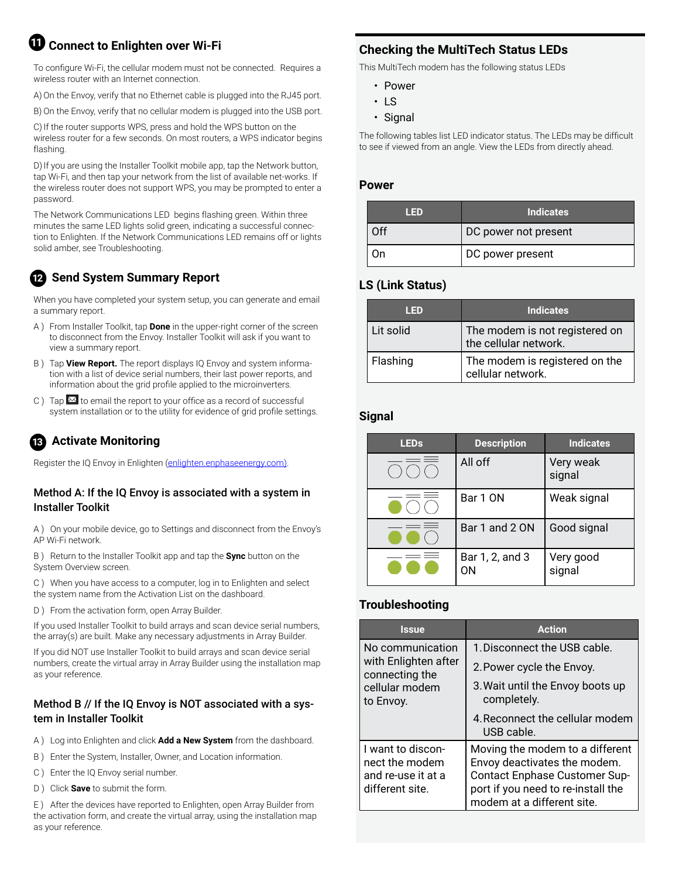### $\mathbf \Psi$  Connect to Enlighten over Wi-Fi

To configure Wi-Fi, the cellular modem must not be connected. Requires a wireless router with an Internet connection.

A) On the Envoy, verify that no Ethernet cable is plugged into the RJ45 port.

B) On the Envoy, verify that no cellular modem is plugged into the USB port.

C) If the router supports WPS, press and hold the WPS button on the wireless router for a few seconds. On most routers, a WPS indicator begins flashing.

D) If you are using the Installer Toolkit mobile app, tap the Network button, tap Wi-Fi, and then tap your network from the list of available net-works. If the wireless router does not support WPS, you may be prompted to enter a password.

The Network Communications LED begins flashing green. Within three minutes the same LED lights solid green, indicating a successful connection to Enlighten. If the Network Communications LED remains off or lights solid amber, see Troubleshooting.

### **Send System Summary Report 12**

When you have completed your system setup, you can generate and email a summary report.

- A ) From Installer Toolkit, tap **Done** in the upper-right corner of the screen to disconnect from the Envoy. Installer Toolkit will ask if you want to view a summary report.
- B ) Tap **View Report.** The report displays IQ Envoy and system information with a list of device serial numbers, their last power reports, and information about the grid profile applied to the microinverters.
- C ) Tap  $\mathbb{M}$  to email the report to your office as a record of successful system installation or to the utility for evidence of grid profile settings.

### **Activate Monitoring 13**

Register the IQ Envoy in Enlighten ([enlighten.enphaseenergy.com](https://enlighten.enphaseenergy.com)).

#### Method A: If the IQ Envoy is associated with a system in Installer Toolkit

A ) On your mobile device, go to Settings and disconnect from the Envoy's AP Wi-Fi network.

B ) Return to the Installer Toolkit app and tap the **Sync** button on the System Overview screen.

C ) When you have access to a computer, log in to Enlighten and select the system name from the Activation List on the dashboard.

D ) From the activation form, open Array Builder.

If you used Installer Toolkit to build arrays and scan device serial numbers, the array(s) are built. Make any necessary adjustments in Array Builder.

If you did NOT use Installer Toolkit to build arrays and scan device serial numbers, create the virtual array in Array Builder using the installation map as your reference.

### Method B // If the IQ Envoy is NOT associated with a system in Installer Toolkit

- A ) Log into Enlighten and click **Add a New System** from the dashboard.
- B ) Enter the System, Installer, Owner, and Location information.
- C ) Enter the IQ Envoy serial number.
- D ) Click **Save** to submit the form.

E ) After the devices have reported to Enlighten, open Array Builder from the activation form, and create the virtual array, using the installation map as your reference.

### **Checking the MultiTech Status LEDs**

This MultiTech modem has the following status LEDs

- Power
- LS
- Signal

The following tables list LED indicator status. The LEDs may be difficult to see if viewed from an angle. View the LEDs from directly ahead.

#### **Power**

| II ED | <b>Indicates</b>     |
|-------|----------------------|
| ∩ff   | DC power not present |
|       | DC power present     |

### **LS (Link Status)**

| HED       | <b>Indicates</b>                                        |
|-----------|---------------------------------------------------------|
| Lit solid | The modem is not registered on<br>the cellular network. |
| Flashing  | The modem is registered on the<br>cellular network.     |

#### **Signal**

| <b>LEDs</b> | <b>Description</b>    | Indicates           |
|-------------|-----------------------|---------------------|
|             | All off               | Very weak<br>signal |
|             | Bar 1 ON              | Weak signal         |
|             | Bar 1 and 2 ON        | Good signal         |
|             | Bar 1, 2, and 3<br>OΝ | Very good<br>signal |

#### **Troubleshooting**

| <b>Issue</b>                                                                              | <b>Action</b>                                                                                                                                                        |
|-------------------------------------------------------------------------------------------|----------------------------------------------------------------------------------------------------------------------------------------------------------------------|
| No communication<br>with Enlighten after<br>connecting the<br>cellular modem<br>to Envoy. | 1. Disconnect the USB cable.                                                                                                                                         |
|                                                                                           | 2. Power cycle the Envoy.                                                                                                                                            |
|                                                                                           | 3. Wait until the Envoy boots up<br>completely.                                                                                                                      |
|                                                                                           | 4. Reconnect the cellular modem<br>USB cable.                                                                                                                        |
| I want to discon-<br>nect the modem<br>and re-use it at a<br>different site.              | Moving the modem to a different<br>Envoy deactivates the modem.<br>Contact Enphase Customer Sup-<br>port if you need to re-install the<br>modem at a different site. |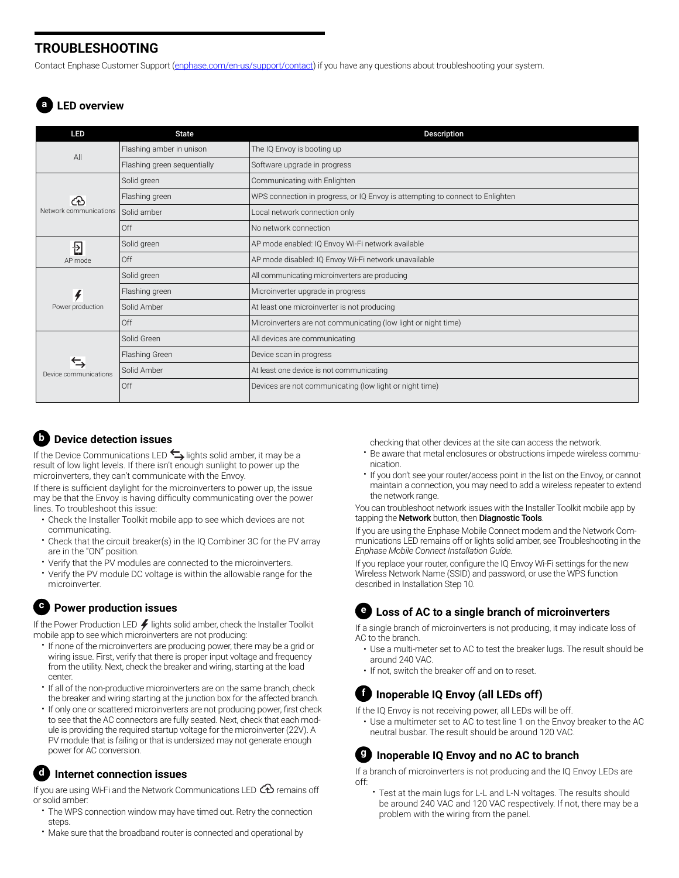### **TROUBLESHOOTING**

Contact Enphase Customer Support ([enphase.com/en-us/support/contact](http://enphase.com/en-us/support/contact)) if you have any questions about troubleshooting your system.

### **a LED overview**

| <b>LED</b>                  | <b>State</b>                | Description                                                                   |
|-----------------------------|-----------------------------|-------------------------------------------------------------------------------|
| All                         | Flashing amber in unison    | The IQ Envoy is booting up                                                    |
|                             | Flashing green sequentially | Software upgrade in progress                                                  |
| ෬<br>Network communications | Solid green                 | Communicating with Enlighten                                                  |
|                             | Flashing green              | WPS connection in progress, or IQ Envoy is attempting to connect to Enlighten |
|                             | Solid amber                 | Local network connection only                                                 |
|                             | Off                         | No network connection                                                         |
| 日                           | Solid green                 | AP mode enabled: IQ Envoy Wi-Fi network available                             |
| AP mode                     | Off                         | AP mode disabled: IQ Envoy Wi-Fi network unavailable                          |
|                             | Solid green                 | All communicating microinverters are producing                                |
| $\frac{1}{\sqrt{2}}$        | Flashing green              | Microinverter upgrade in progress                                             |
| Power production            | Solid Amber                 | At least one microinverter is not producing                                   |
|                             | Off                         | Microinverters are not communicating (low light or night time)                |
|                             | Solid Green                 | All devices are communicating                                                 |
| ⇆<br>Device communications  | Flashing Green              | Device scan in progress                                                       |
|                             | Solid Amber                 | At least one device is not communicating                                      |
|                             | Off                         | Devices are not communicating (low light or night time)                       |

### **b Device detection issues**

If the Device Communications LED  $\Leftrightarrow$  lights solid amber, it may be a result of low light levels. If there isn't enough sunlight to power up the microinverters, they can't communicate with the Envoy.

If there is sufficient daylight for the microinverters to power up, the issue may be that the Envoy is having difficulty communicating over the power lines. To troubleshoot this issue:

- Check the Installer Toolkit mobile app to see which devices are not communicating.
- Check that the circuit breaker(s) in the IQ Combiner 3C for the PV array are in the "ON" position.
- Verify that the PV modules are connected to the microinverters.
- Verify the PV module DC voltage is within the allowable range for the microinverter.

#### **c Power production issues**

If the Power Production LED  $\neq$  lights solid amber, check the Installer Toolkit mobile app to see which microinverters are not producing:

- If none of the microinverters are producing power, there may be a grid or wiring issue. First, verify that there is proper input voltage and frequency from the utility. Next, check the breaker and wiring, starting at the load center.
- If all of the non-productive microinverters are on the same branch, check the breaker and wiring starting at the junction box for the affected branch.
- If only one or scattered microinverters are not producing power, first check to see that the AC connectors are fully seated. Next, check that each module is providing the required startup voltage for the microinverter (22V). A PV module that is failing or that is undersized may not generate enough power for AC conversion.

#### **d Internet connection issues**

If you are using Wi-Fi and the Network Communications LED  $\bigoplus$  remains off or solid amber:

- The WPS connection window may have timed out. Retry the connection steps.
- Make sure that the broadband router is connected and operational by

checking that other devices at the site can access the network.

- Be aware that metal enclosures or obstructions impede wireless communication.
- If you don't see your router/access point in the list on the Envoy, or cannot maintain a connection, you may need to add a wireless repeater to extend the network range.

You can troubleshoot network issues with the Installer Toolkit mobile app by tapping the Network button, then Diagnostic Tools.

If you are using the Enphase Mobile Connect modem and the Network Communications LED remains off or lights solid amber, see Troubleshooting in the *Enphase Mobile Connect Installation Guide.*

If you replace your router, configure the IQ Envoy Wi-Fi settings for the new Wireless Network Name (SSID) and password, or use the WPS function described in Installation Step 10.

### **e Loss of AC to a single branch of microinverters**

If a single branch of microinverters is not producing, it may indicate loss of AC to the branch.

- Use a multi-meter set to AC to test the breaker lugs. The result should be around 240 VAC.
- If not, switch the breaker off and on to reset.

### **f Inoperable IQ Envoy (all LEDs off)**

- If the IQ Envoy is not receiving power, all LEDs will be off.
- Use a multimeter set to AC to test line 1 on the Envoy breaker to the AC neutral busbar. The result should be around 120 VAC.

### **g Inoperable IQ Envoy and no AC to branch**

If a branch of microinverters is not producing and the IQ Envoy LEDs are off:

Test at the main lugs for L-L and L-N voltages. The results should be around 240 VAC and 120 VAC respectively. If not, there may be a problem with the wiring from the panel.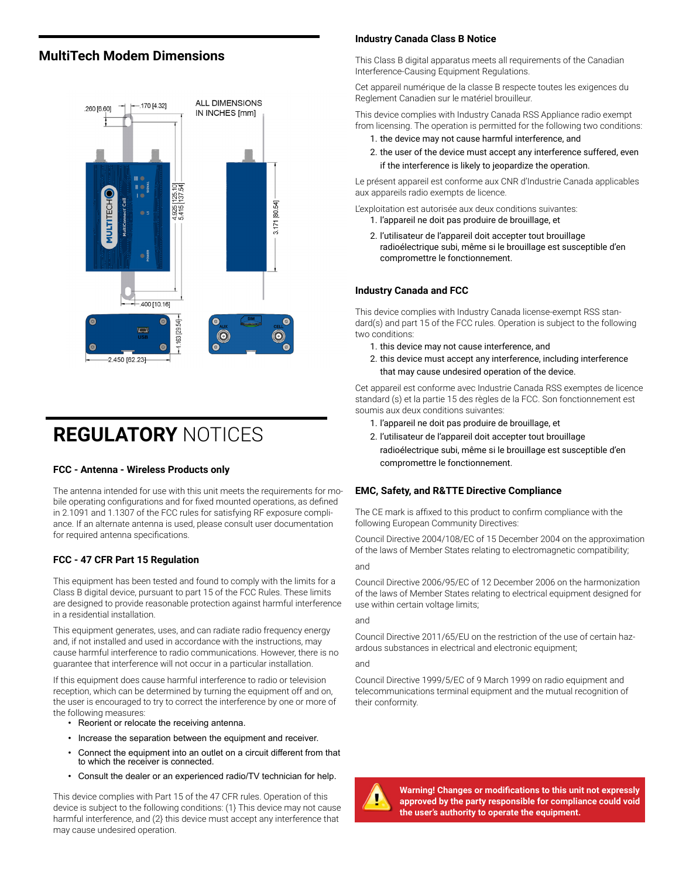#### **MultiTech Modem Dimensions**



### **REGULATORY** NOTICES

#### **FCC - Antenna - Wireless Products only**

The antenna intended for use with this unit meets the requirements for mobile operating configurations and for fixed mounted operations, as defined in 2.1091 and 1.1307 of the FCC rules for satisfying RF exposure compliance. If an alternate antenna is used, please consult user documentation for required antenna specifications.

#### **FCC - 47 CFR Part 15 Regulation**

This equipment has been tested and found to comply with the limits for a Class B digital device, pursuant to part 15 of the FCC Rules. These limits are designed to provide reasonable protection against harmful interference in a residential installation.

This equipment generates, uses, and can radiate radio frequency energy and, if not installed and used in accordance with the instructions, may cause harmful interference to radio communications. However, there is no guarantee that interference will not occur in a particular installation.

If this equipment does cause harmful interference to radio or television reception, which can be determined by turning the equipment off and on, the user is encouraged to try to correct the interference by one or more of the following measures:

- Reorient or relocate the receiving antenna.
- Increase the separation between the equipment and receiver.
- Connect the equipment into an outlet on a circuit different from that to which the receiver is connected.
- Consult the dealer or an experienced radio/TV technician for help.

This device complies with Part 15 of the 47 CFR rules. Operation of this device is subject to the following conditions: (1} This device may not cause harmful interference, and (2} this device must accept any interference that may cause undesired operation.

#### **Industry Canada Class B Notice**

This Class B digital apparatus meets all requirements of the Canadian Interference-Causing Equipment Regulations.

Cet appareil numérique de la classe B respecte toutes les exigences du Reglement Canadien sur le matériel brouilleur.

This device complies with Industry Canada RSS Appliance radio exempt from licensing. The operation is permitted for the following two conditions:

- 1. the device may not cause harmful interference, and
- 2. the user of the device must accept any interference suffered, even if the interference is likely to jeopardize the operation.

Le présent appareil est conforme aux CNR d'Industrie Canada applicables aux appareils radio exempts de licence.

L'exploitation est autorisée aux deux conditions suivantes:

- 1. l'appareil ne doit pas produire de brouillage, et
- 2. l'utilisateur de l'appareil doit accepter tout brouillage radioélectrique subi, même si le brouillage est susceptible d'en compromettre le fonctionnement.

#### **Industry Canada and FCC**

This device complies with Industry Canada license-exempt RSS standard(s) and part 15 of the FCC rules. Operation is subject to the following two conditions:

- 1. this device may not cause interference, and
- 2. this device must accept any interference, including interference that may cause undesired operation of the device.

Cet appareil est conforme avec Industrie Canada RSS exemptes de licence standard (s) et la partie 15 des règles de la FCC. Son fonctionnement est soumis aux deux conditions suivantes:

- 1. l'appareil ne doit pas produire de brouillage, et
- 2. l'utilisateur de l'appareil doit accepter tout brouillage radioélectrique subi, même si le brouillage est susceptible d'en compromettre le fonctionnement.

#### **EMC, Safety, and R&TTE Directive Compliance**

The CE mark is affixed to this product to confirm compliance with the following European Community Directives:

Council Directive 2004/108/EC of 15 December 2004 on the approximation of the laws of Member States relating to electromagnetic compatibility; and

Council Directive 2006/95/EC of 12 December 2006 on the harmonization of the laws of Member States relating to electrical equipment designed for use within certain voltage limits;

and

Council Directive 2011/65/EU on the restriction of the use of certain hazardous substances in electrical and electronic equipment;

and

Council Directive 1999/5/EC of 9 March 1999 on radio equipment and telecommunications terminal equipment and the mutual recognition of their conformity.



**Warning! Changes or modifications to this unit not expressly approved by the party responsible for compliance could void the user's authority to operate the equipment.**